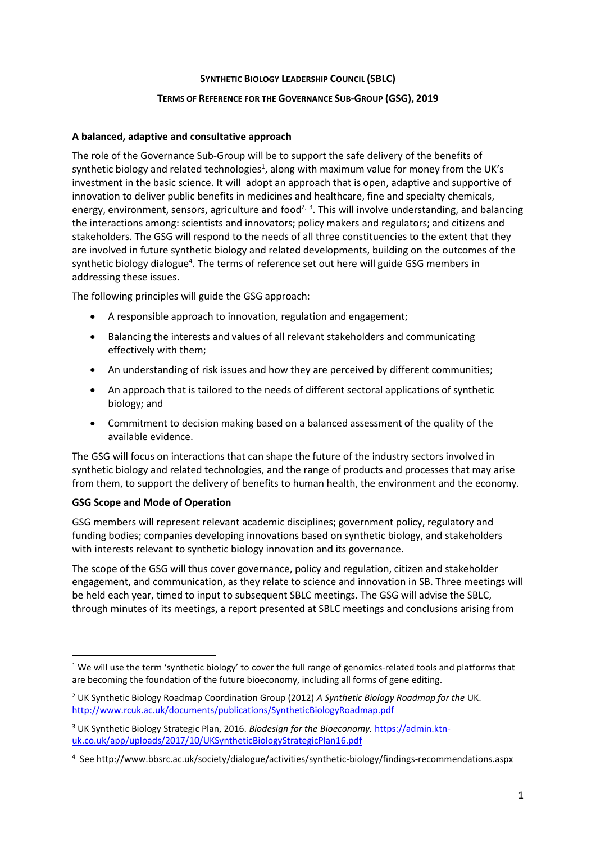## **SYNTHETIC BIOLOGY LEADERSHIP COUNCIL (SBLC)**

## **TERMS OF REFERENCE FOR THE GOVERNANCE SUB-GROUP (GSG), 2019**

# **A balanced, adaptive and consultative approach**

The role of the Governance Sub-Group will be to support the safe delivery of the benefits of synthetic biology and related technologies<sup>1</sup>, along with maximum value for money from the UK's investment in the basic science. It will adopt an approach that is open, adaptive and supportive of innovation to deliver public benefits in medicines and healthcare, fine and specialty chemicals, energy, environment, sensors, agriculture and food<sup>2, 3</sup>. This will involve understanding, and balancing the interactions among: scientists and innovators; policy makers and regulators; and citizens and stakeholders. The GSG will respond to the needs of all three constituencies to the extent that they are involved in future synthetic biology and related developments, building on the outcomes of the synthetic biology dialogue<sup>4</sup>. The terms of reference set out here will guide GSG members in addressing these issues.

The following principles will guide the GSG approach:

- A responsible approach to innovation, regulation and engagement;
- Balancing the interests and values of all relevant stakeholders and communicating effectively with them;
- An understanding of risk issues and how they are perceived by different communities;
- An approach that is tailored to the needs of different sectoral applications of synthetic biology; and
- Commitment to decision making based on a balanced assessment of the quality of the available evidence.

The GSG will focus on interactions that can shape the future of the industry sectors involved in synthetic biology and related technologies, and the range of products and processes that may arise from them, to support the delivery of benefits to human health, the environment and the economy.

## **GSG Scope and Mode of Operation**

 $\overline{a}$ 

GSG members will represent relevant academic disciplines; government policy, regulatory and funding bodies; companies developing innovations based on synthetic biology, and stakeholders with interests relevant to synthetic biology innovation and its governance.

The scope of the GSG will thus cover governance, policy and regulation, citizen and stakeholder engagement, and communication, as they relate to science and innovation in SB. Three meetings will be held each year, timed to input to subsequent SBLC meetings. The GSG will advise the SBLC, through minutes of its meetings, a report presented at SBLC meetings and conclusions arising from

<sup>&</sup>lt;sup>1</sup> We will use the term 'synthetic biology' to cover the full range of genomics-related tools and platforms that are becoming the foundation of the future bioeconomy, including all forms of gene editing.

<sup>2</sup> UK Synthetic Biology Roadmap Coordination Group (2012) *A Synthetic Biology Roadmap for the* UK. <http://www.rcuk.ac.uk/documents/publications/SyntheticBiologyRoadmap.pdf>

<sup>3</sup> UK Synthetic Biology Strategic Plan, 2016. *Biodesign for the Bioeconomy.* [https://admin.ktn](https://admin.ktn-uk.co.uk/app/uploads/2017/10/UKSyntheticBiologyStrategicPlan16.pdf)[uk.co.uk/app/uploads/2017/10/UKSyntheticBiologyStrategicPlan16.pdf](https://admin.ktn-uk.co.uk/app/uploads/2017/10/UKSyntheticBiologyStrategicPlan16.pdf)

<sup>4</sup> See http://www.bbsrc.ac.uk/society/dialogue/activities/synthetic-biology/findings-recommendations.aspx